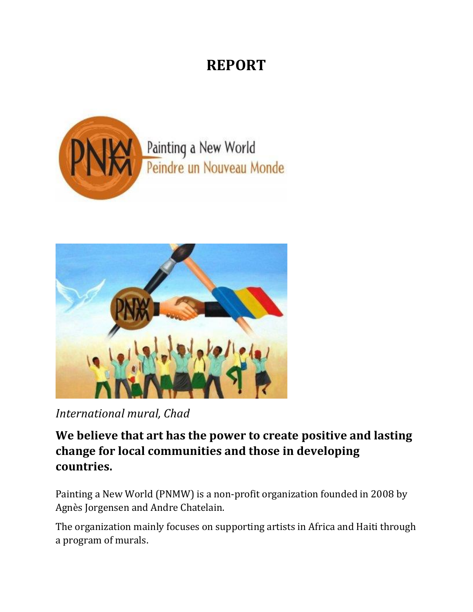## **REPORT**





*International mural, Chad*

**We believe that art has the power to create positive and lasting change for local communities and those in developing countries.**

Painting a New World (PNMW) is a non-profit organization founded in 2008 by Agnès Jorgensen and Andre Chatelain.

The organization mainly focuses on supporting artists in Africa and Haiti through a program of murals.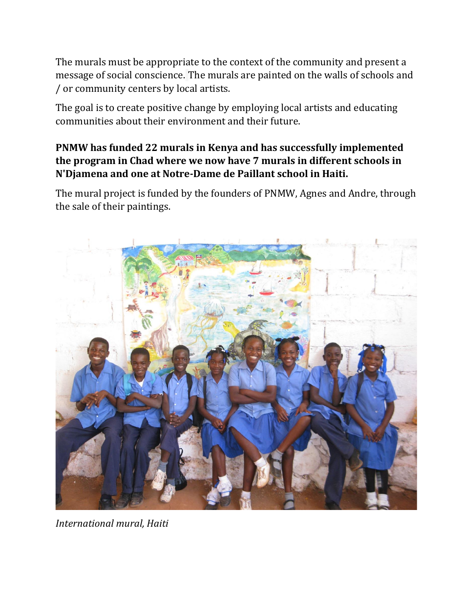The murals must be appropriate to the context of the community and present a message of social conscience. The murals are painted on the walls of schools and / or community centers by local artists.

The goal is to create positive change by employing local artists and educating communities about their environment and their future.

## **PNMW has funded 22 murals in Kenya and has successfully implemented the program in Chad where we now have 7 murals in different schools in N'Djamena and one at Notre-Dame de Paillant school in Haiti.**

The mural project is funded by the founders of PNMW, Agnes and Andre, through the sale of their paintings.



*International mural, Haiti*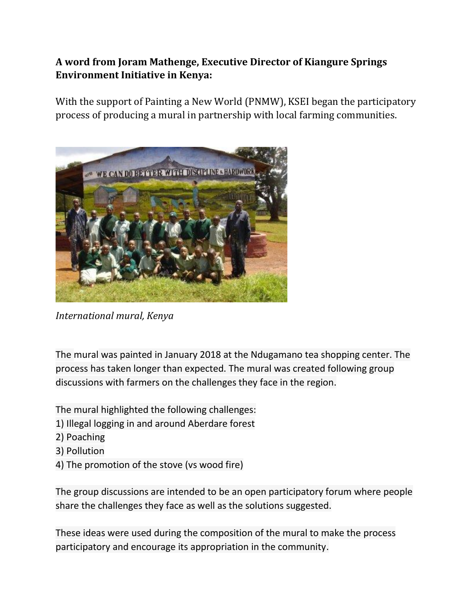## **A word from Joram Mathenge, Executive Director of Kiangure Springs Environment Initiative in Kenya:**

With the support of Painting a New World (PNMW), KSEI began the participatory process of producing a mural in partnership with local farming communities.



*International mural, Kenya*

The mural was painted in January 2018 at the Ndugamano tea shopping center. The process has taken longer than expected. The mural was created following group discussions with farmers on the challenges they face in the region.

The mural highlighted the following challenges:

- 1) Illegal logging in and around Aberdare forest
- 2) Poaching
- 3) Pollution
- 4) The promotion of the stove (vs wood fire)

The group discussions are intended to be an open participatory forum where people share the challenges they face as well as the solutions suggested.

These ideas were used during the composition of the mural to make the process participatory and encourage its appropriation in the community.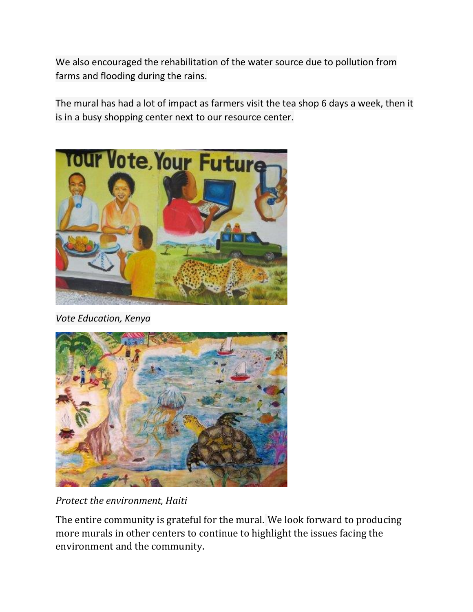We also encouraged the rehabilitation of the water source due to pollution from farms and flooding during the rains.

The mural has had a lot of impact as farmers visit the tea shop 6 days a week, then it is in a busy shopping center next to our resource center.



*Vote Education, Kenya*



*Protect the environment, Haiti*

The entire community is grateful for the mural. We look forward to producing more murals in other centers to continue to highlight the issues facing the environment and the community.